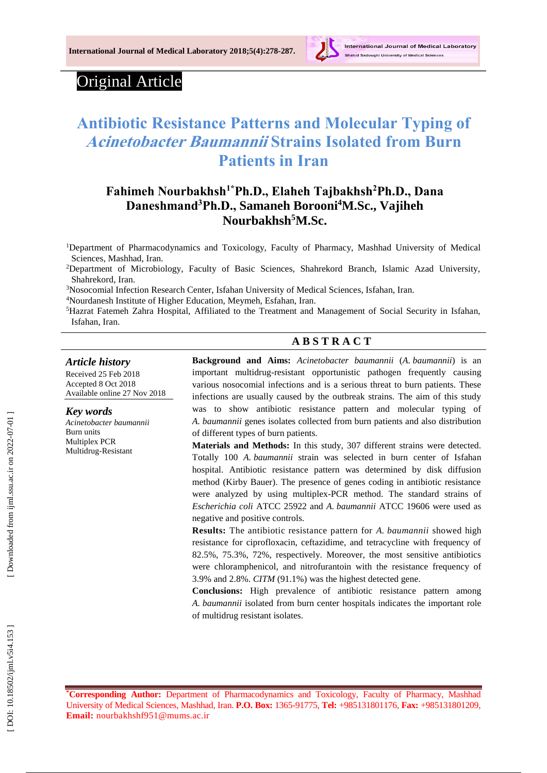

# Original Article

# **Antibiotic Resistance Patterns and Molecular Typing of Acinetobacter Baumannii Strains Isolated from Burn Patients in Iran**

# **Fahimeh Nourbakhsh 1 \*Ph.D., Elaheh Tajbakhsh <sup>2</sup>Ph.D., Dana Daneshmand <sup>3</sup>Ph.D., Samaneh Borooni <sup>4</sup>M.Sc. , Vajiheh Nourbakhsh <sup>5</sup>M.Sc.**

<sup>1</sup>Department of Pharmacodynamics and Toxicology, Faculty of Pharmacy, Mashhad University of Medical Sciences, Mashhad, Iran.

<sup>2</sup>Department of Microbiology, Faculty of Basic Sciences, Shahrekord Branch, Islamic Azad University, Shahrekord, Iran.

<sup>3</sup>Nosocomial Infection Research Center, Isfahan University of Medical Sciences, Isfahan, Iran.

<sup>4</sup>Nourdanesh Institute of Higher Education, Meymeh, Esfahan, Iran.

<sup>5</sup>Hazrat Fatemeh Zahra Hospital, Affiliated to the Treatment and Management of Social Security in Isfahan, Isfahan, Iran.

#### *Article history*

Received 2 5 Feb 201 8 Accepted 8 Oct 201 8 Available online 27 Nov 201 8

*Key words Acinetobacter baumannii* Burn units Multiplex PCR Multidrug -Resistant

#### **A B S T R A C T**

**Background and Aims:** *Acinetobacter baumannii* (*A . baumannii*) is an important multidrug-resistant opportunistic pathogen frequently causing various nosocomial infections and is a serious threat to burn patients. These infections are usually caused by the outbreak strains. The aim of this study was to show antibiotic resistance pattern and molecular typing of *A. baumannii* genes isolates collected from burn patients and also distribution of different types of burn patients.

**Materials and Methods:** In this study, 307 different strains were detected. Totally 100 *A. baumannii* strain was selected in burn center of Isfahan hospital. Antibiotic resistance pattern was determined by disk diffusion method (Kirby Bauer). The presence of genes coding in antibiotic resistance were analyzed by using multiplex -PCR method. The standard strains of *Escherichia coli* ATCC 25922 and *A. baumannii* ATCC 19606 were used as negative and positive controls.

**Results:** The antibiotic resistance pattern for *A. baumannii* showed high resistance for ciprofloxacin, ceftazidime, and tetracycline with frequency of 82.5%, 75.3%, 72%, respectively. Moreover, the most sensitive antibiotics were chloramphenicol, and nitrofurantoin with the resistance frequency of 3.9% and 2.8%. *CITM* (91.1%) was the highest detected gene.

**Conclusions:** High prevalence of antibiotic resistance pattern among *A. baumannii* isolated from burn center hospitals indicate s the importan t role of multidrug resistant isolates.

**\*Corresponding Author:** Department of Pharmacodynamics and Toxicology, Faculty of Pharmacy, Mashhad University of Medical Sciences, Mashhad, Iran. P.O. Box: 1365-91775, Tel: +985131801176, Fax: +985131801209, **Email:** nourbakhshf951@mums.ac.ir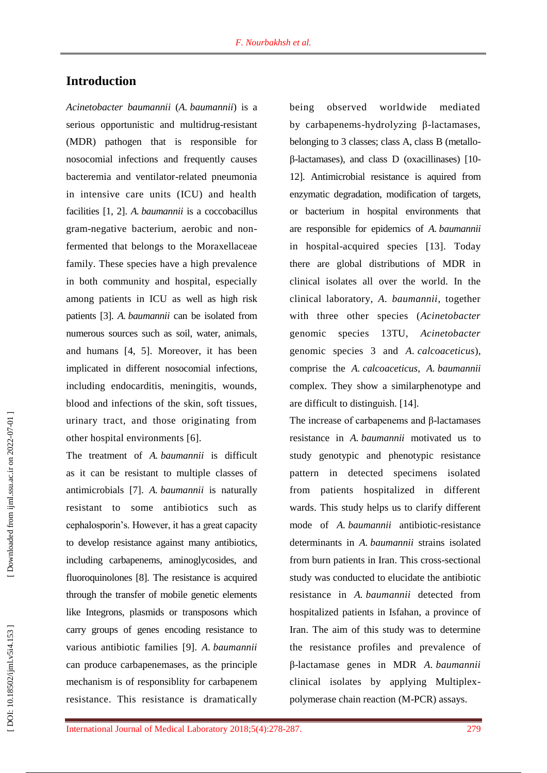# **Introduction**

*Acinetobacter baumannii* (*A. baumannii*) is a serious opportunistic and multidrug-resistant (MDR) pathogen that is responsible for nosocomial infections and frequently causes bacteremia and ventilator -related pneumonia in intensive care units (ICU) and health facilities [1, 2 ] . *A. baumannii* is a coccobacillus gram -negative bacterium, aerobic and non fermented that belong s to the Moraxellaceae family. These species have a high prevalence in both community and hospital, especially among patients in ICU as well as high risk patients [ 3 ] . *A. baumannii* can be isolated from numerous sources such as soil, water, animals, and humans [4, 5 ]. Moreover, it has been implicated in different nosocomial infections, including endocarditis, meningitis, wounds, blood and infections of the skin, soft tissues, urinary tract, and those originating from other hospital environments [6].

The treatment of *A. baumannii* is difficult as it can be resistant to multiple classes of antimicrobial s [ 7 ] . *A. baumannii* is naturally resistant to some antibiotics such as cephalosporin's. However, it has a great capacity to develop resistance against many antibiotics, including carbapenems, aminoglycosides, and fluoroquinolones [ 8 ]. The resistance is acquired through the transfer of mobile genetic elements like Integrons, plasmids or transposons which carry groups of genes encoding resistance to various antibiotic families [ 9 ] . *A. baumannii* can produce carbapenemases, as the principle mechanism is of responsiblity for carbapenem resistance. This resistance is dramatically

being observed worldwide mediated by carbapenems -hydrolyzing β -lactamases, belonging to 3 classes; class A, class B (metalloβ -lactamases), and class D (oxacillinases) [10 - 12 ]. Antimicrobial resistance is aquired from enzymatic degradation, modification of targets, or bacterium in hospital environments that are responsible for epidemics of *A. baumannii* in hospital -acquired species [13 ]. Today there are global distributions of MDR in clinical isolates all over the wor ld. In the clinical laboratory, *A. baumannii*, together with three other species (*Acinetobacter* genomic species 13TU, *Acinetobacter* genomic species 3 and *A. calcoaceticus*), comprise the *A. calcoaceticus*, *A. baumannii*  complex. They show a similarphenotype and are difficult to distinguish. [14 ] .

The increas e of carbapenems and β -lactamases resistance in *A. baumannii* motivated us to study genotypic and phenotypic resistance pattern in detected specimens isolated from patients hospitalized in different wards. This study helps us to clarify different mode of *A . baumannii* antibiotic -resistance determinants in *A. baumannii* strains isolated from burn patients in Iran. This cross -sectional study was conducted to elucidate the antibiotic resistance in *A. baumannii* detected from hospitalized patients in Isfahan, a province of Iran. The aim of this study was to determine the resistance profiles and prevalence of β-lactamase genes in MDR *A. baumannii*  clinical isolates by applying Multiplex polymerase chain reaction (M -PCR) assays.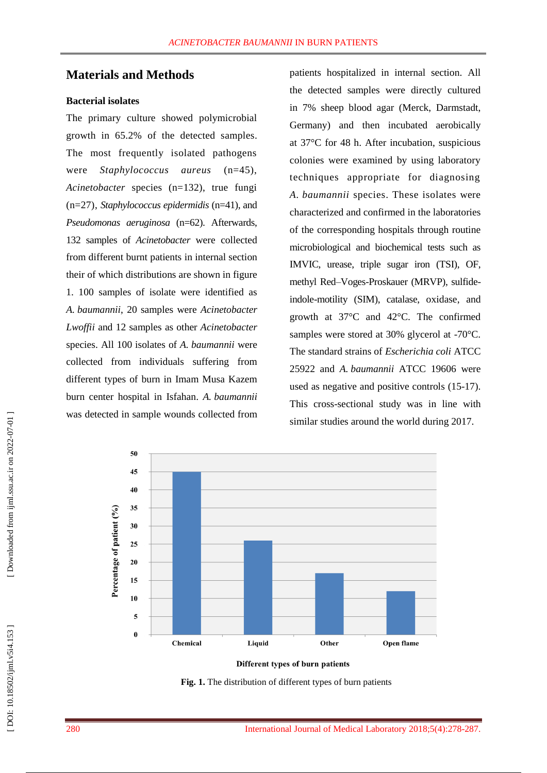### **Materials and Methods**

#### **Bacterial isolates**

The primary culture showed polymicrobial growth in 65.2% of the detected samples. The most frequently isolated pathogens were *Staphylococcus aureus* (n=45), *Acinetobacter* species (n=132), true fungi (n=27), *Staphylococcus epidermidis* (n=41), and *Pseudomonas aeruginosa* (n=62). Afterwards, 132 samples of *Acinetobacter* were collected from different burnt patients in internal section their of which distributions are shown in figure 1. 100 samples of isolate were identified as *A. baumannii*, 20 samples were *Acinetobacter Lwoffii* and 12 samples as other *Acinetobacter* species. All 100 isolates of *A. baumannii* were collected from individuals suffering from different types of burn in Imam Musa Kazem burn center hospital in Isfahan. *A. baumannii*  was detected in sample wound s collected from

patients hospitalized in internal section. All the detected samples were directly cultured in 7% sheep blood agar (Merck, Darmstadt, Germany) and then incubated aerobically at 37°C for 48 h. After incubation, suspicious colonies were examined by using laboratory techniques appropriate for diagnosing *A. baumannii* species. These isolates were characterized and confirmed in the laboratories of the corresponding hospitals through routine microbiological and biochemical tests such as IMVIC, urease, triple sugar iron (TSI), OF, methyl Red–Voges -Proskauer (MRVP), sulfide indole -motility (SIM), catalase, oxidase, and growth at 37°C and 42°C. The confirmed samples were stored at 30% glycerol at -70°C. The standard strains of *Escherichia coli* ATCC 25922 and *A. baumannii* ATCC 19606 were used as negative and positive controls (15 -17). This cross -sectional study was in line with similar studies around the world during 2017.



Different types of burn patients

**Fig. 1.** The distribution of different types of burn patients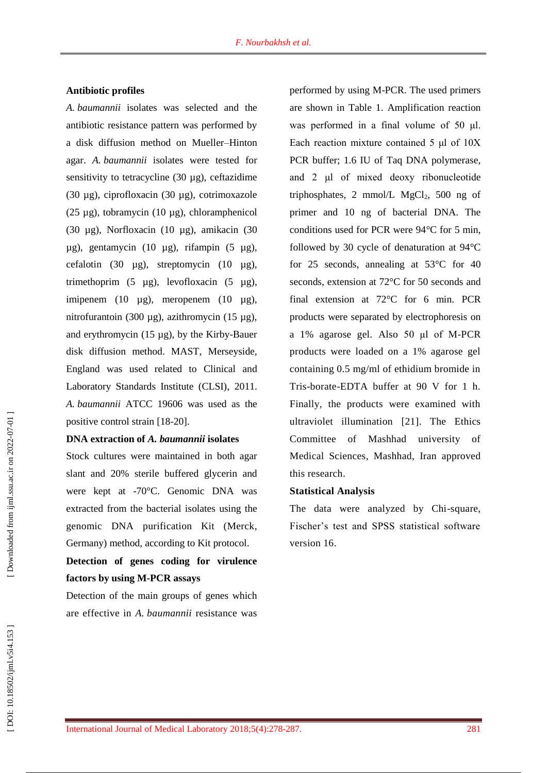#### **Antibiotic profiles**

*A. baumannii* isolates was selected and the antibiotic resistance pattern was performed by a disk diffusion method on Mueller –Hinton agar. *A. baumannii* isolates were tested for sensitivity to tetracycline  $(30 \mu g)$ , ceftazidime (30 µg), ciprofloxacin (30 µg), cotrimoxazole (25 µg), tobramycin (10 µg), chloramphenicol (30 µg), Norfloxacin (10 µg), amikacin (30 µg), gentamycin (10 µg), rifampin (5 µg), cefalotin (30  $\mu$ g), streptomycin (10  $\mu$ g), trimethoprim  $(5 \text{ µg})$ , levofloxacin  $(5 \text{ µg})$ , imipenem (10 µg), meropenem (10 µg), nitrofurantoin (300 µg), azithromycin (15 µg), and erythromycin (15 µg), by the Kirby -Bauer disk diffusion method. MAST, Merseyside, England was used related to Clinical and Laboratory Standards Institute (CLSI) , 2011. *A. baumannii* ATCC 19606 was used as the positive control strain [18 -20 ].

#### **DNA extraction of** *A. baumannii* **isolates**

Stock cultures were maintained in both agar slant and 20% sterile buffered glycerin and were kept at -70°C. Genomic DNA was extracted from the bacterial isolates using the genomic DNA purification Kit (Merck, Germany) method, according to Kit protocol.

# **Detection of genes coding for virulence factors by using M -PCR assays**

Detection of the main groups of genes which are effective in *A. baumannii* resistance was performed by using M -PCR. The used primers are shown in Table 1. Amplification reaction was performed in a final volume of 50 μl. Each reaction mixture contained 5 μl of 10X PCR buffer; 1.6 IU of Taq DNA polymerase, and 2 μl of mixed deoxy ribonucleotide triphosphates, 2 mmol/L MgCl <sup>2</sup>, 500 ng of primer and 10 ng of bacterial DNA. The conditions used for PCR were 94°C for 5 min, followed by 30 cycle of denaturation at 94°C for 25 seconds, annealing at 53°C for 40 seconds, extension at 72°C for 50 seconds and final extension at 72°C for 6 min. PCR products were separated by electrophoresis on a 1% agarose gel. Also 50 μl of M -PCR products were loaded on a 1% agarose gel containing 0.5 mg/ml of ethidium bromide in Tris -borate -EDTA buffer at 90 V for 1 h. Finally, the products were examined with ultraviolet illumination [21 ] . The Ethics Committee of Mashhad university of Medical Sciences, Mashhad, Iran approved this research .

#### **Statistical Analysis**

The data were analyzed by Chi-square, Fischer's test and SPSS statistical software version 16 .

Downloaded from ijml.ssu.ac.ir on 2022-07-01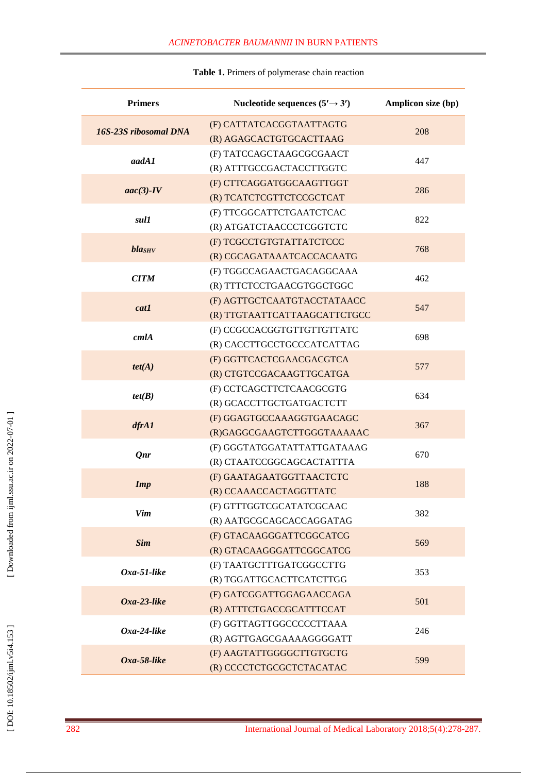| <b>Primers</b>        | Nucleotide sequences $(5' \rightarrow 3')$ | Amplicon size (bp) |  |
|-----------------------|--------------------------------------------|--------------------|--|
| 16S-23S ribosomal DNA | (F) CATTATCACGGTAATTAGTG                   | 208                |  |
|                       | (R) AGAGCACTGTGCACTTAAG                    |                    |  |
| aadA1                 | (F) TATCCAGCTAAGCGCGAACT                   | 447                |  |
|                       | (R) ATTTGCCGACTACCTTGGTC                   |                    |  |
| $aac(3)-IV$           | (F) CTTCAGGATGGCAAGTTGGT                   | 286                |  |
|                       | (R) TCATCTCGTTCTCCGCTCAT                   |                    |  |
| sul1                  | (F) TTCGGCATTCTGAATCTCAC                   | 822                |  |
|                       | (R) ATGATCTAACCCTCGGTCTC                   |                    |  |
| blasHv                | (F) TCGCCTGTGTATTATCTCCC                   | 768                |  |
|                       | (R) CGCAGATAAATCACCACAATG                  |                    |  |
| <b>CITM</b>           | (F) TGGCCAGAACTGACAGGCAAA                  | 462                |  |
|                       | (R) TTTCTCCTGAACGTGGCTGGC                  |                    |  |
| cat1                  | (F) AGTTGCTCAATGTACCTATAACC                | 547                |  |
|                       | (R) TTGTAATTCATTAAGCATTCTGCC               |                    |  |
| cm1A                  | (F) CCGCCACGGTGTTGTTGTTATC                 | 698                |  |
|                       | (R) CACCTTGCCTGCCCATCATTAG                 |                    |  |
| tet(A)                | (F) GGTTCACTCGAACGACGTCA                   | 577                |  |
|                       | (R) CTGTCCGACAAGTTGCATGA                   |                    |  |
|                       | (F) CCTCAGCTTCTCAACGCGTG                   | 634                |  |
| tet(B)                | (R) GCACCTTGCTGATGACTCTT                   |                    |  |
|                       | (F) GGAGTGCCAAAGGTGAACAGC                  | 367                |  |
| dfrA1                 | (R)GAGGCGAAGTCTTGGGTAAAAAC                 |                    |  |
| <b>Qnr</b>            | (F) GGGTATGGATATTATTGATAAAG                | 670                |  |
|                       | (R) CTAATCCGGCAGCACTATTTA                  |                    |  |
| <b>Imp</b>            | (F) GAATAGAATGGTTAACTCTC                   | 188                |  |
|                       | (R) CCAAACCACTAGGTTATC                     |                    |  |
| Vim                   | (F) GTTTGGTCGCATATCGCAAC                   | 382                |  |
|                       | (R) AATGCGCAGCACCAGGATAG                   |                    |  |
|                       | (F) GTACAAGGGATTCGGCATCG                   | 569                |  |
| <b>Sim</b>            | (R) GTACAAGGGATTCGGCATCG                   |                    |  |
| $Oxa-51$ -like        | (F) TAATGCTTTGATCGGCCTTG                   |                    |  |
|                       | (R) TGGATTGCACTTCATCTTGG                   | 353                |  |
| $Oxa-23$ -like        | (F) GATCGGATTGGAGAACCAGA                   |                    |  |
|                       | (R) ATTTCTGACCGCATTTCCAT                   | 501                |  |
| $Oxa-24$ -like        | (F) GGTTAGTTGGCCCCCTTAAA                   |                    |  |
|                       | (R) AGTTGAGCGAAAAGGGGATT                   | 246                |  |
|                       | (F) AAGTATTGGGGCTTGTGCTG                   |                    |  |
| $Oxa-58$ -like        | (R) CCCCTCTGCGCTCTACATAC                   | 599                |  |

#### **Table 1 .** Primers of polymerase chain reaction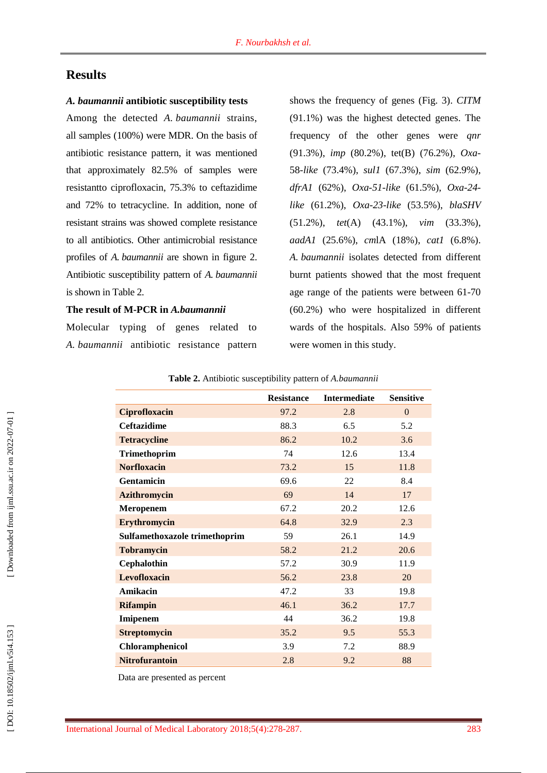# **Result s**

#### *A. baumannii* **antibiotic susceptibility tests**

Among the detected *A. baumannii* strains, all samples (100%) were MDR. On the basis of antibiotic resistance pattern, it was mentioned that approximately 82.5% of samples were resistantto ciprofloxacin, 75.3% to ceftazidime and 72% to tetracycline. In addition, none of resistant strains was showed complete resistance to all antibiotics. Other antimicrobial resistance profiles of *A. baumannii* are shown in figure 2. Antibiotic susceptibility pattern of *A. baumannii*  is show n in Table 2.

#### **The result of M -PCR in** *A.baumannii*

Molecular typing of genes related to *A. baumannii* antibiotic resistance pattern

shows the frequency of genes (Fig. 3 ) . *CITM* (91.1%) was the highest detected genes. The frequency of the other genes were *qnr* (91.3%), *imp* (80.2%), tet(B) (76.2%), *Oxa* - 58 *-like* (73.4%), *sul1* (67.3%), *sim* (62.9%), *dfrA1* (62%), *Oxa-51-like* (61.5%), *Oxa-24like* (61.2%), *Oxa -23 -like* (53.5%), *blaSHV* (51.2%), *tet*(A) (43.1%), *vim* (33.3%), *aadA1* (25.6%), *cm*lA (18%), *cat1* (6.8%). *A. baumannii* isolates detected from different burn t patients showed that the most frequent age range of the patients were between 61 -70 (60.2%) who were hospitalized in different wards of the hospitals. Also 59% of patients were women in this study .

|                               | <b>Resistance</b> | <b>Intermediate</b> | <b>Sensitive</b> |
|-------------------------------|-------------------|---------------------|------------------|
| <b>Ciprofloxacin</b>          | 97.2              | 2.8                 | $\mathbf{0}$     |
| <b>Ceftazidime</b>            | 88.3              | 6.5                 | 5.2              |
| <b>Tetracycline</b>           | 86.2              | 10.2                | 3.6              |
| <b>Trimethoprim</b>           | 74                | 12.6                | 13.4             |
| <b>Norfloxacin</b>            | 73.2              | 15                  | 11.8             |
| <b>Gentamicin</b>             | 69.6              | 22                  | 8.4              |
| <b>Azithromycin</b>           | 69                | 14                  | 17               |
| Meropenem                     | 67.2              | 20.2                | 12.6             |
| Erythromycin                  | 64.8              | 32.9                | 2.3              |
| Sulfamethoxazole trimethoprim | 59                | 26.1                | 14.9             |
| <b>Tobramycin</b>             | 58.2              | 21.2                | 20.6             |
| Cephalothin                   | 57.2              | 30.9                | 11.9             |
| <b>Levofloxacin</b>           | 56.2              | 23.8                | 20               |
| Amikacin                      | 47.2              | 33                  | 19.8             |
| <b>Rifampin</b>               | 46.1              | 36.2                | 17.7             |
| Imipenem                      | 44                | 36.2                | 19.8             |
| <b>Streptomycin</b>           | 35.2              | 9.5                 | 55.3             |
| Chloramphenicol               | 3.9               | 7.2                 | 88.9             |
| <b>Nitrofurantoin</b>         | 2.8               | 9.2                 | 88               |

**Table 2 .** Antibiotic susceptibility pattern of *A.baumannii*

Data are presented as percent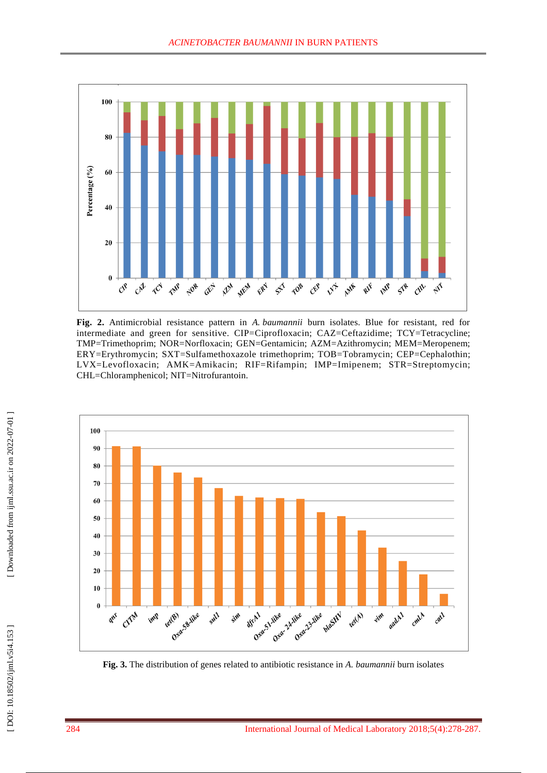

**Fig . 2.** Antimicrobial resistance pattern in *A. baumannii* burn isolates. Blue for resistant, red for intermediate and green for sensitive. CIP=Ciprofloxacin; CAZ=Ceftazidime; TCY=Tetracycline; TMP=Trimethoprim; NOR=Norfloxacin; GEN=Gentamicin; AZM=Azithromycin; MEM=Meropenem; ERY=Erythromycin; SXT=Sulfamethoxazole trimethoprim; TOB=Tobramycin; CEP=Cephalothin; LVX =Levofloxacin; AMK =Amikacin; RIF=Rifampin; IMP=Imipenem; STR=Streptomycin; CHL=Chloramphenicol; NIT =Nitrofurantoin.



**Fig . 3.** The distribution of genes related to antibiotic resistance in *A. baumannii* burn isolates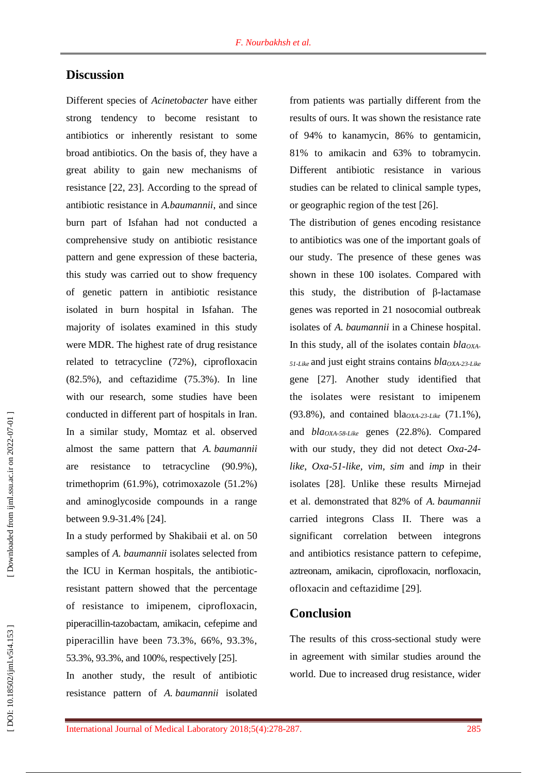### **Discussion**

Different species of *Acinetobacter* have either strong tendency to become resistant to antibiotics or inherently resistant to some broad antibiotics. On the basis of , they have a great ability to gain new mechanisms of resistance [22, 23 ]. According to the spread of antibiotic resistance in *A.baumannii*, and since burn part of Isfahan had not conducted a comprehensive study on antibiotic resistance pattern and gene expression of these bacteria, this study was carried out to show frequency of genetic pattern in antibiotic resistance isolated in burn hospital in Isfahan. The majority of isolates examined in this study were MDR. The highest rate of drug resistance related to tetracycline (72%), ciprofloxacin (82.5%), and ceftazidime (75.3%) . In line with our research, some studies have been conducted in different part of hospitals in Iran. In a similar study, Momtaz et al. observed almost the same pattern that *A. baumannii*  are resistance to tetracycline (90.9%), trimethoprim (61.9%), cotrimoxazole (51.2%) and aminoglycoside compounds in a range between 9.9-31.4% [24].

In a study performed by Shakibaii et al. on 50 samples of *A. baumannii* isolates selected from the ICU in Kerman hospitals, the antibiotic resistant pattern showed that the percentage of resistance to imipenem, ciprofloxacin , piperacillin -tazobactam, amikacin, cefepime and piperacillin have been 73.3%, 66%, 93.3%, 53.3%, 93.3%, and 100%, respectively [25 ] .

In another study , the result of antibiotic resistance pattern of *A. baumannii* isolated

from patients was partially different from the results of ours. It was shown the resistance rate of 94% to kanamycin, 86% to gentamicin, 81% to amikacin and 63% to tobramycin. Different antibiotic resistance in various studies can be related to clinical sample types, or geographic region of the test [26 ] .

The distribution of genes encoding resistance to antibiotics was one of the important goals of our study. The presence of these genes was shown in these 100 isolates. Compared with this study, the distribution of β -lactamase genes was reported in 21 nosocomial outbreak isolates of *A. baumannii* in a Chinese hospital. In this study, all of the isolates contain *blaOXA - 51 -Like* and just eight strains contains *blaOXA -23 -Like*  gene [27 ] . Another study identified that the isolates were resistant to imipenem (93.8%), and contained bla*OXA -23 -Like* (71.1%), and *blaOXA -58 -Like* genes (22.8%). Compared with our study, they did not detect Oxa-24*like* , *Oxa -51 -like , vim , sim* and *imp* in their isolates [28 ]. Unlike these results Mirnejad et al. demonstrated that 82% of *A. baumannii*  carried integrons Class II. There was a significant correlation between integrons and antibiotics resistance pattern to cefepime, aztreonam, amikacin, ciprofloxacin, norfloxacin, ofloxacin and ceftazidime [29 ] .

### **Conclusion**

The results of this cross -sectional study were in agreement with similar studies around the world. Due to increased drug resistance, wider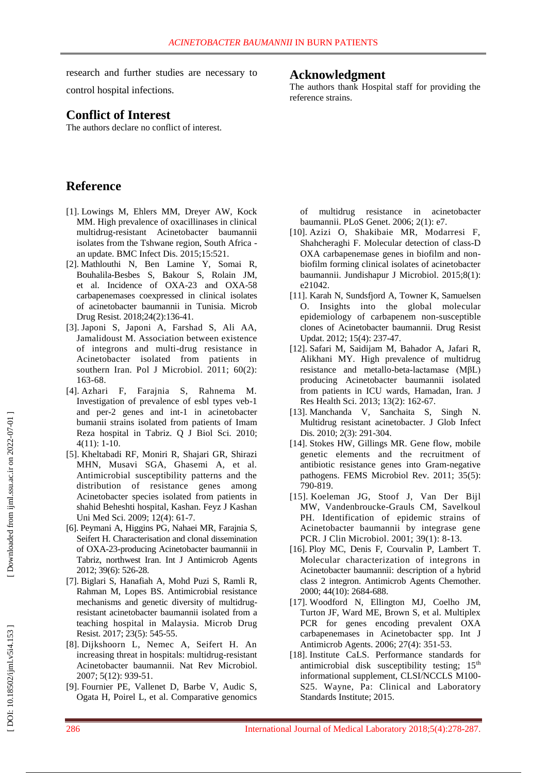re search and further studies are necessary to control hospital infections.

# **Conflict of Interest**

The authors declare no conflict of interest.

# **Reference**

- [1]. Lowings M, Ehlers MM, Dreyer AW, Kock MM. High prevalence of oxacillinases in clinical multidrug -resistant Acinetobacter baumannii isolates from the Tshwane region, South Africa an update. BMC Infect Dis. 2015;15:521.
- [ 2]. Mathlouthi N, Ben Lamine Y, Somai R, Bouhalila -Besbes S, Bakour S, Rolain JM, et al. Incidence of OXA -23 and OXA -58 carbapenemases coexpressed in clinical isolates of acinetobacter baumannii in Tunisia. [Microb](https://www.ncbi.nlm.nih.gov/pubmed/?term=Incidence+of+OXA-23+and+OXA-58+Carbapenemases+Coexpressed+in+Clinical+Isolates+of+Acinetobacter+baumannii+in+Tunisia)  [Drug Resist.](https://www.ncbi.nlm.nih.gov/pubmed/?term=Incidence+of+OXA-23+and+OXA-58+Carbapenemases+Coexpressed+in+Clinical+Isolates+of+Acinetobacter+baumannii+in+Tunisia) 2018;24(2):136 -41.
- [ 3]. Japoni S, Japoni A, Farshad S, Ali AA, Jamalidoust M. Association between existence of integrons and multi -drug resistance in Acinetobacter isolated from patients in southern Iran. Pol J Microbiol. 2011; 60(2): 163 - 6 8.
- [ 4]. Azhari F, Farajnia S, Rahnema M. Investigation of prevalence of esbl types veb -1 and per -2 genes and int -1 in acinetobacter bumanii strains isolated from patients of Imam Reza hospital i n Tabriz. Q J Biol Sci. 2010; 4(11): 1 -10.
- [ 5]. Kheltabadi RF, Moniri R, Shajari GR, Shirazi MHN, Musavi SGA, Ghasemi A, et al. Antimicrobial susceptibility patterns and the distribution of resistance genes among Acinetobacter species isolated from patients in shahid Beheshti hospital, Kashan. Feyz J Kashan Uni Med Sci. 2009; 12(4): 61-7.
- [ 6]. Peymani A, Higgins PG, Nahaei MR, Farajnia S, Seifert H. Characterisation and clonal dissemination of OXA -23 -producing Acinetobacter baumannii in Tabriz, northwest Iran. Int J Antimicrob Agents 2012; 39(6): 526 - 2 8.
- [ 7]. Biglari S, Hanafiah A, Mohd Puzi S, Ramli R, Rahman M, Lopes BS. Antimicrobial resistance mechanisms and genetic diversity of multidrug resistant acinetobacter baumannii isolated from a teaching hospital in Malaysia. Microb Drug Resist. 2017; 23(5): 545 -55.
- [ 8]. Dijkshoorn L, Nemec A, Seifert H. An increasing threat in hospitals: multidrug-resistant Acinetobacter baumannii. Nat Rev Microbiol. 2007; 5(12): 939 -51.
- [ 9]. Fournier PE, Vallenet D, Barbe V, Audic S, Ogata H, Poirel L, et al. Comparative genomics

# **Acknowledgment**

The authors thank Hospital staff for providing the reference strains.

of multidrug resistance acinetobacter baumannii. PLoS Genet. 2006; 2(1): e7 .

- [10]. Azizi O, Shakibaie MR, Modarresi F, Shahcheraghi F. Molecular detection of class-D OXA carbapenemase genes in biofilm and non biofilm forming clinical isolates of acinetobacter baumannii. Jundishapur J Microbiol. 2015;8(1): e21042.
- [11]. Karah N, Sundsfjord A, Towner K, Samuelsen O. Insights into the global molecular epidemiology of carbapenem non -susceptible clones of Acinetobacter baumannii. Drug Resist Updat . 2012; 15(4): 237 -47.
- [12]. Safari M, Saidijam M, Bahador A, Jafari R, Alikhani MY. High prevalence of multidrug resistance and metallo -beta -lactamase (MβL) producing Acinetobacter baumannii isolated from patients in ICU wards, Hamadan, Iran. J Res Health Sci. 2013; 13(2): 162 - 67.
- [13]. Manchanda V, Sanchaita S, Singh N. Multidrug resistant acinetobacter. J Glob Infect Dis. 2010; 2(3): 291-304.
- [14]. Stokes HW, Gillings MR. Gene flow, mobile genetic elements and the recruitment of antibiotic resistance genes into Gram -negative pathogens. FEMS Microbiol Rev. 2011; 35(5): 790 -819.
- [15]. Koeleman JG, Stoof J, Van Der Bij l MW, Vandenbroucke - Grauls CM, Savelkoul PH. Identification of epidemic strains of Acinetobacter baumannii by integrase gene PCR. J Clin Microbiol. 2001; 39(1): 8-13.
- [16]. Ploy MC, Denis F, Courvalin P, Lambert T. Molecular characterization of integrons in Acinetobacter baumannii: description of a hybrid class 2 integron. Antimicrob Agents Chemother. 2000; 44(10): 2684 -68 8 .
- [17]. Woodford N, Ellington MJ, Coelho JM, Turton JF, Ward ME, Brown S, et al. Multiplex PCR for genes encoding prevalent OXA carbapenemases in Acinetobacter spp. Int J Antimicrob Agents. 2006; 27(4): 351 - 5 3.
- [18]. Institute CaLS. Performance standards for antimicrobial disk susceptibility testing; 15<sup>th</sup> informational supplement, CLSI/NCCLS M100 - S25. Wayne, Pa : Clinical and Laboratory Standards Institute ; 2015.